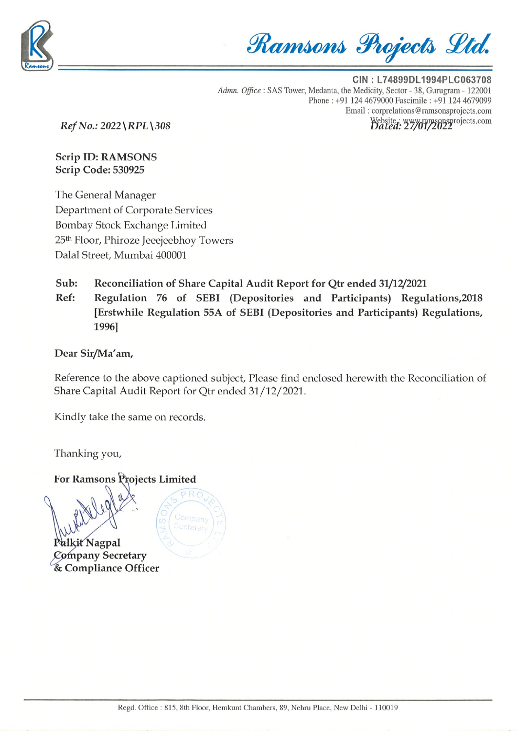

Ramsons Projects Ltd.

CIN: L74899DL1994PLC063708 Admn. Office: SAS Tower, Medanta, the Medicity, Sector - 38, Gurugram - 122001 Phone: +91 124 4679000 Fascimile: +91 124 4679099 Email: corprelations@ramsonsprojects.com Websited: 27/01/2022

 $RefNo.: 2022\$  RPL\308

**Scrip ID: RAMSONS** Scrip Code: 530925

The General Manager Department of Corporate Services Bombay Stock Exchange Limited 25<sup>th</sup> Floor, Phiroze Jeeejeebhoy Towers Dalal Street, Mumbai 400001

Sub: Reconciliation of Share Capital Audit Report for Qtr ended 31/12/2021

Ref: Regulation 76 of SEBI (Depositories and Participants) Regulations, 2018 [Erstwhile Regulation 55A of SEBI (Depositories and Participants) Regulations, 1996]

## Dear Sir/Ma'am,

Reference to the above captioned subject, Please find enclosed herewith the Reconciliation of Share Capital Audit Report for Qtr ended 31/12/2021.

Kindly take the same on records.

Thanking you,

**For Ramsons Projects Limited** 

Pulkit Nagpal Company Secretary & Compliance Officer

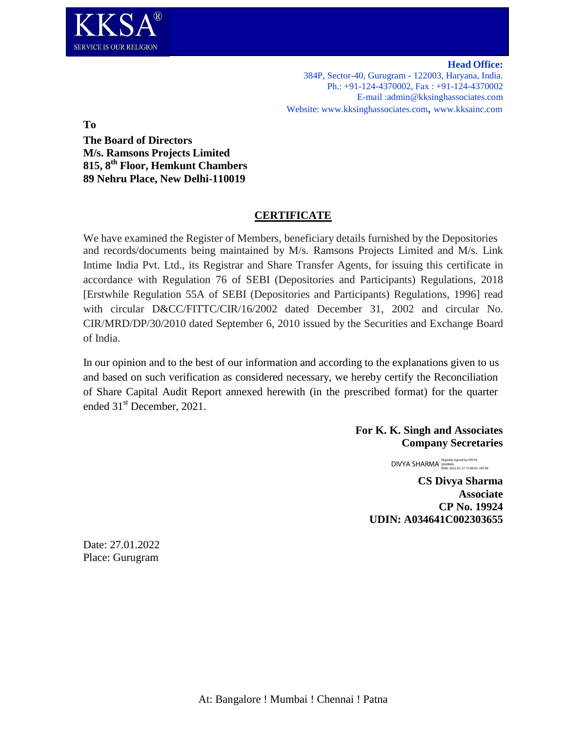

**Head Office:** 384P, Sector-40, Gurugram - 122003, Haryana, India. Ph.: +91-124-4370002, Fax : +91-124-4370002 E-mail :admin@kksinghassociates.com Website: www.kksinghassociates.com, www.kksainc.com

**To**

**The Board of Directors M/s. Ramsons Projects Limited 815, 8 th Floor, Hemkunt Chambers 89 Nehru Place, New Delhi-110019**

## **CERTIFICATE**

We have examined the Register of Members, beneficiary details furnished by the Depositories and records/documents being maintained by M/s. Ramsons Projects Limited and M/s. Link Intime India Pvt. Ltd., its Registrar and Share Transfer Agents, for issuing this certificate in accordance with Regulation 76 of SEBI (Depositories and Participants) Regulations, 2018 [Erstwhile Regulation 55A of SEBI (Depositories and Participants) Regulations, 1996] read with circular D&CC/FITTC/CIR/16/2002 dated December 31, 2002 and circular No. CIR/MRD/DP/30/2010 dated September 6, 2010 issued by the Securities and Exchange Board of India.

In our opinion and to the best of our information and according to the explanations given to us and based on such verification as considered necessary, we hereby certify the Reconciliation of Share Capital Audit Report annexed herewith (in the prescribed format) for the quarter ended 31<sup>st</sup> December, 2021.

> **For K. K. Singh and Associates Company Secretaries**

> > DIVYA SHARMA Digitally signed by DIVYA<br>Date: 2022.01.27 15:00:43 +05'30

**CS Divya Sharma Associate CP No. 19924 UDIN: A034641C002303655**

Date: 27.01.2022 Place: Gurugram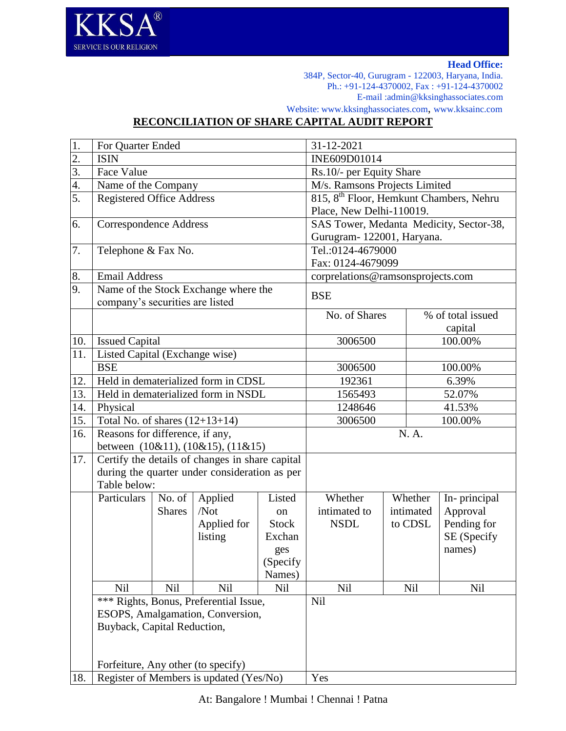

**Head Office:**

384P, Sector-40, Gurugram - 122003, Haryana, India. Ph.: +91-124-4370002, Fax : +91-124-4370002 E-mail :admin@kksinghassociates.com

Website: www.kksinghassociates.com, www.kksainc.com

## **RECONCILIATION OF SHARE CAPITAL AUDIT REPORT**

| 1.               | For Quarter Ended                                                               |                                    |                                                 |                    | 31-12-2021                                   |                                         |           |                   |
|------------------|---------------------------------------------------------------------------------|------------------------------------|-------------------------------------------------|--------------------|----------------------------------------------|-----------------------------------------|-----------|-------------------|
| $\overline{2}$ . | <b>ISIN</b>                                                                     |                                    |                                                 | INE609D01014       |                                              |                                         |           |                   |
| $\overline{3}$ . | Face Value<br>Rs.10/- per Equity Share                                          |                                    |                                                 |                    |                                              |                                         |           |                   |
| 4.               | M/s. Ramsons Projects Limited<br>Name of the Company                            |                                    |                                                 |                    |                                              |                                         |           |                   |
| $\overline{5}$ . |                                                                                 | <b>Registered Office Address</b>   |                                                 |                    | $815$ , $8th$ Floor, Hemkunt Chambers, Nehru |                                         |           |                   |
|                  |                                                                                 |                                    |                                                 |                    |                                              | Place, New Delhi-110019.                |           |                   |
| 6.               | <b>Correspondence Address</b>                                                   |                                    |                                                 |                    |                                              | SAS Tower, Medanta Medicity, Sector-38, |           |                   |
|                  |                                                                                 |                                    |                                                 |                    | Gurugram-122001, Haryana.                    |                                         |           |                   |
| 7.               | Telephone & Fax No.                                                             |                                    |                                                 |                    | Tel.:0124-4679000                            |                                         |           |                   |
|                  |                                                                                 |                                    |                                                 |                    | Fax: 0124-4679099                            |                                         |           |                   |
| 8.               | <b>Email Address</b>                                                            |                                    |                                                 |                    | corprelations@ramsonsprojects.com            |                                         |           |                   |
| 9.               |                                                                                 |                                    | Name of the Stock Exchange where the            |                    | <b>BSE</b>                                   |                                         |           |                   |
|                  | company's securities are listed                                                 |                                    |                                                 |                    |                                              |                                         |           |                   |
|                  |                                                                                 |                                    |                                                 |                    | No. of Shares                                |                                         |           | % of total issued |
|                  |                                                                                 |                                    |                                                 |                    |                                              |                                         |           | capital           |
| 10.              | <b>Issued Capital</b>                                                           |                                    |                                                 |                    | 3006500                                      |                                         |           | 100.00%           |
| 11.              | Listed Capital (Exchange wise)                                                  |                                    |                                                 |                    |                                              |                                         |           |                   |
|                  | <b>BSE</b>                                                                      |                                    |                                                 |                    | 3006500                                      |                                         |           | 100.00%           |
| 12.              |                                                                                 |                                    | Held in dematerialized form in CDSL             |                    | 192361                                       |                                         |           | 6.39%             |
| 13.              |                                                                                 |                                    | Held in dematerialized form in NSDL             |                    | 1565493                                      |                                         |           | 52.07%            |
| 14.              | Physical                                                                        |                                    |                                                 |                    | 1248646                                      |                                         | 41.53%    |                   |
| 15.              | Total No. of shares $(12+13+14)$                                                |                                    |                                                 | 3006500<br>100.00% |                                              |                                         |           |                   |
| 16.              | Reasons for difference, if any,<br>between $(10\&11)$ , $(10\&15)$ , $(11\&15)$ |                                    |                                                 | N. A.              |                                              |                                         |           |                   |
| 17.              |                                                                                 |                                    | Certify the details of changes in share capital |                    |                                              |                                         |           |                   |
|                  |                                                                                 |                                    | during the quarter under consideration as per   |                    |                                              |                                         |           |                   |
|                  | Table below:                                                                    |                                    |                                                 |                    |                                              |                                         |           |                   |
|                  | Particulars                                                                     | No. of                             | Applied                                         | Listed             | Whether                                      |                                         | Whether   | In-principal      |
|                  |                                                                                 | <b>Shares</b>                      | /Not                                            | <sub>on</sub>      | intimated to                                 |                                         | intimated | Approval          |
|                  |                                                                                 |                                    | Applied for                                     | <b>Stock</b>       | <b>NSDL</b>                                  |                                         | to CDSL   | Pending for       |
|                  |                                                                                 |                                    | listing                                         | Exchan             |                                              |                                         |           | SE (Specify       |
|                  |                                                                                 |                                    |                                                 | ges                |                                              |                                         |           | names)            |
|                  |                                                                                 |                                    |                                                 | (Specify           |                                              |                                         |           |                   |
|                  |                                                                                 |                                    |                                                 | Names)             |                                              |                                         |           |                   |
|                  | <b>Nil</b>                                                                      | Nil                                | <b>Nil</b>                                      | Nil                | Nil                                          |                                         | Nil       | <b>Nil</b>        |
|                  |                                                                                 |                                    | *** Rights, Bonus, Preferential Issue,          |                    | Nil                                          |                                         |           |                   |
|                  | ESOPS, Amalgamation, Conversion,                                                |                                    |                                                 |                    |                                              |                                         |           |                   |
|                  | Buyback, Capital Reduction,                                                     |                                    |                                                 |                    |                                              |                                         |           |                   |
|                  |                                                                                 |                                    |                                                 |                    |                                              |                                         |           |                   |
|                  |                                                                                 |                                    |                                                 |                    |                                              |                                         |           |                   |
|                  |                                                                                 | Forfeiture, Any other (to specify) |                                                 |                    |                                              |                                         |           |                   |
| 18.              | Register of Members is updated (Yes/No)                                         |                                    |                                                 |                    | Yes                                          |                                         |           |                   |

At: Bangalore ! Mumbai ! Chennai ! Patna